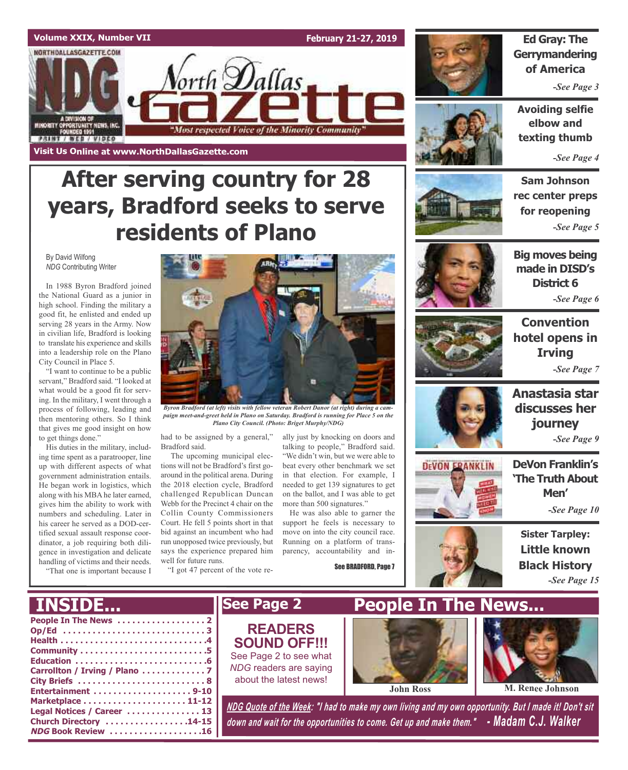### **Volume XXIX, Number VII** NORTHDALLASGAZETTE.COM

**Visit Us Online at www.NorthDallasGazette.com**

**February 21-27, 2019**



### **Ed Gray: The Gerrymandering of America**

*-See Page 3*

**Avoiding selfie elbow and texting thumb**

*-See Page 4*

### **Sam Johnson rec center preps for reopening**

*-See Page 5*



ORITY OPPORTUNITY NEWS, INC.<br>FOUNDED 1991

**PRINT / WEB / VIDEO** 

In 1988 Byron Bradford joined the National Guard as a junior in high school. Finding the military a good fit, he enlisted and ended up serving 28 years in the Army. Now in civilian life, Bradford is looking to translate his experience and skills into a leadership role on the Plano City Council in Place 5.

"I want to continue to be a public servant," Bradford said. "I looked at what would be a good fit for serving. In the military, I went through a process of following, leading and then mentoring others. So I think that gives me good insight on how to get things done."

His duties in the military, including time spent as a paratrooper, line up with different aspects of what government administration entails. He began work in logistics, which along with his MBA he later earned, gives him the ability to work with numbers and scheduling. Later in his career he served as a DOD-certified sexual assault response coordinator, a job requiring both diligence in investigation and delicate handling of victims and their needs.

"That one is important because I



*Byron Bradford (at left) visits with fellow veteran Robert Danor (at right) during a campaign meet-and-greet held in Plano on Saturday. Bradford is running for Place 5 on the Plano City Council. (Photo: Briget Murphy/NDG)*

had to be assigned by a general," Bradford said.

**After serving country for 28**

orth **D**allas

"Most respected Voice of the Minority Community

**years, Bradford seeks to serve**

**residents of Plano**

The upcoming municipal elections will not be Bradford's first goaround in the political arena. During the 2018 election cycle, Bradford challenged Republican Duncan Webb for the Precinct 4 chair on the Collin County Commissioners Court. He fell 5 points short in that bid against an incumbent who had run unopposed twice previously, but says the experience prepared him well for future runs.

"I got 47 percent of the vote re-

ally just by knocking on doors and talking to people," Bradford said. "We didn't win, but we were able to beat every other benchmark we set in that election. For example, I needed to get 139 signatures to get on the ballot, and I was able to get more than 500 signatures."

He was also able to garner the support he feels is necessary to move on into the city council race. Running on a platform of transparency, accountability and in-

See BRADFORD, Page 7



**Big moves being made in DISD's District 6** *-See Page 6*



**Convention hotel opens in Irving** *-See Page 7*







**Anastasia star discusses her**

**'The Truth About Men'**

*-See Page 10*

**Sister Tarpley: Little known Black History** *-See Page 15*

|                                                                            |                                                                                                                     |                                                                                                                                                                                                 | $\sim$ -Dee 1 uge 10    |
|----------------------------------------------------------------------------|---------------------------------------------------------------------------------------------------------------------|-------------------------------------------------------------------------------------------------------------------------------------------------------------------------------------------------|-------------------------|
| <b>INSIDE</b>                                                              | <b>See Page 2</b>                                                                                                   | <b>People In The News</b>                                                                                                                                                                       |                         |
| Op/Ed 3                                                                    | <b>READERS</b><br><b>SOUND OFF!!!</b><br>See Page 2 to see what<br>NDG readers are saying<br>about the latest news! | <b>John Ross</b>                                                                                                                                                                                | <b>M. Renee Johnson</b> |
| Legal Notices / Career  13<br>Church Directory 14-15<br>NDG Book Review 16 |                                                                                                                     | NDG Quote of the Week: "I had to make my own living and my own opportunity. But I made it! Don't sit<br>down and wait for the opportunities to come. Get up and make them." - Madam C.J. Walker |                         |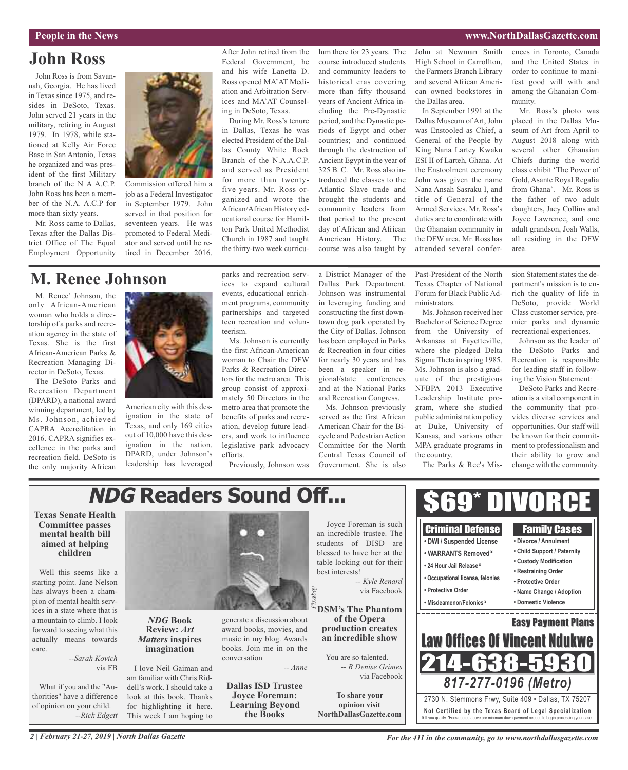#### **People in the News www.NorthDallasGazette.com**

### **John Ross**

John Ross is from Savannah, Georgia. He has lived in Texas since 1975, and resides in DeSoto, Texas. John served 21 years in the military, retiring in August 1979. In 1978, while stationed at Kelly Air Force Base in San Antonio, Texas he organized and was president of the first Military branch of the N A A.C.P. John Ross has been a member of the N.A. A.C.P for more than sixty years.

Mr. Ross came to Dallas, Texas after the Dallas District Office of The Equal Employment Opportunity



Commission offered him a job as a Federal Investigator in September 1979. John served in that position for seventeen years. He was promoted to Federal Mediator and served until he retired in December 2016.

After John retired from the Federal Government, he and his wife Lanetta D. Ross opened MA'AT Mediation and Arbitration Services and MA'AT Counseling in DeSoto, Texas.

During Mr. Ross's tenure in Dallas, Texas he was elected President of the Dallas County White Rock Branch of the N.A.A.C.P. and served as President for more than twentyfive years. Mr. Ross organized and wrote the African/African History educational course for Hamilton Park United Methodist Church in 1987 and taught the thirty-two week curriculum there for 23 years. The course introduced students and community leaders to historical eras covering more than fifty thousand years of Ancient Africa including the Pre-Dynastic period, and the Dynastic periods of Egypt and other countries; and continued through the destruction of Ancient Egypt in the year of 325 B. C. Mr. Ross also introduced the classes to the Atlantic Slave trade and brought the students and community leaders from that period to the present day of African and African American History. The course was also taught by

John at Newman Smith High School in Carrollton, the Farmers Branch Library and several African American owned bookstores in the Dallas area.

In September 1991 at the Dallas Museum of Art, John was Enstooled as Chief, a General of the People by King Nana Lartey Kwaku ESI II of Larteh, Ghana. At the Enstoolment ceremony John was given the name Nana Ansah Sasraku I, and title of General of the Armed Services. Mr. Ross's duties are to coordinate with the Ghanaian community in the DFW area. Mr. Ross has attended several confer-

ences in Toronto, Canada and the United States in order to continue to manifest good will with and among the Ghanaian Community.

Mr. Ross's photo was placed in the Dallas Museum of Art from April to August 2018 along with several other Ghanaian Chiefs during the world class exhibit 'The Power of Gold, Asante Royal Regalia from Ghana'. Mr. Ross is the father of two adult daughters, Jacy Collins and Joyce Lawrence, and one adult grandson, Josh Walls, all residing in the DFW area.

### **M. Renee Johnson**

M. Renee' Johnson, the only African-American woman who holds a directorship of a parks and recreation agency in the state of Texas. She is the first African-American Parks & Recreation Managing Director in DeSoto, Texas.

The DeSoto Parks and Recreation Department (DPARD), a national award winning department, led by Ms. Johnson, achieved CAPRA Accreditation in 2016. CAPRA signifies excellence in the parks and recreation field. DeSoto is the only majority African



American city with this designation in the state of Texas, and only 169 cities out of 10,000 have this designation in the nation. DPARD, under Johnson's leadership has leveraged

ices to expand cultural events, educational enrichment programs, community partnerships and targeted teen recreation and volunteerism.

parks and recreation serv-

Ms. Johnson is currently the first African-American woman to Chair the DFW Parks & Recreation Directors for the metro area. This group consist of approximately 50 Directors in the metro area that promote the benefits of parks and recreation, develop future leaders, and work to influence legislative park advocacy efforts.

Previously, Johnson was

a District Manager of the Dallas Park Department. Johnson was instrumental in leveraging funding and constructing the first downtown dog park operated by the City of Dallas. Johnson has been employed in Parks & Recreation in four cities for nearly 30 years and has been a speaker in regional/state conferences and at the National Parks and Recreation Congress.

Ms. Johnson previously served as the first African American Chair for the Bicycle and Pedestrian Action Committee for the North Central Texas Council of Government. She is also

Past-President of the North Texas Chapter of National Forum for Black Public Administrators.

Ms. Johnson received her Bachelor of Science Degree from the University of Arkansas at Fayetteville, where she pledged Delta Sigma Theta in spring 1985. Ms. Johnson is also a graduate of the prestigious NFBPA 2013 Executive Leadership Institute program, where she studied public administration policy at Duke, University of Kansas, and various other MPA graduate programs in the country.

The Parks & Rec's Mis-

sion Statement states the department's mission is to enrich the quality of life in DeSoto, provide World Class customer service, premier parks and dynamic recreational experiences.

Johnson as the leader of the DeSoto Parks and Recreation is responsible for leading staff in following the Vision Statement:

DeSoto Parks and Recreation is a vital component in the community that provides diverse services and opportunities. Our staff will be known for their commitment to professionalism and their ability to grow and change with the community.

#### **NDG Readers Sound Off...** \$69\* DIVORCE **Texas Senate Health Committee passes** Joyce Foreman is such Criminal Defense Family Cases **mental health bill** an incredible trustee. The **• DWI / Suspended License • Divorce / Annulment** students of DISD are **aimed at helping • Child Support / Paternity** blessed to have her at the **children • WARRANTS Removed ¥** table looking out for their **• Custody Modification • 24 Hour Jail Release ¥** Well this seems like a best interests! **• Restraining Order • Occupational license, felonies • Protective Order** *-- Kyle Renard* starting point. Jane Nelson *Pixabay*via Facebook **• Protective Order** has always been a cham-**• Name Change / Adoption** pion of mental health serv-**• Misdeamenor/Felonies ¥ • Domestic Violence DSM's The Phantom** ices in a state where that is <u> and and an announced and an announced</u> **of the Opera** a mountain to climb. I look *NDG* **Book** generate a discussion about Easy Payment Plans **production creates** forward to seeing what this **Review:** *Art* award books, movies, and Law Offices Of Vincent Ndukwe **an incredible show** actually means towards *Matters* **inspires** music in my blog. Awards care. **imagination** books. Join me in on the You are so talented. *--Sarah Kovich* conversation 14-638-5 *-- R Denise Grimes* via FB I love Neil Gaiman and *-- Anne* via Facebook am familiar with Chris Rid-*817-277-0196 (Metro)* What if you and the "Au-**Dallas ISD Trustee** dell's work. I should take a thorities" have a difference look at this book. Thanks **Joyce Foreman: To share your** 2730 N. Stemmons Frwy, Suite 409 • Dallas, TX 75207 of opinion on your child. **Learning Beyond opinion visit** for highlighting it here. **Not Ce rtified by the Te x a s Boa rd of Lega l Spe c ia l i za tion the Books NorthDallasGazette.com** *--Rick Edgett* This week I am hoping to ¥ If you qualify. \*Fees quoted above are minimum down payment needed to begin processing your case.

*2 | February 21-27, 2019 | North Dallas Gazette*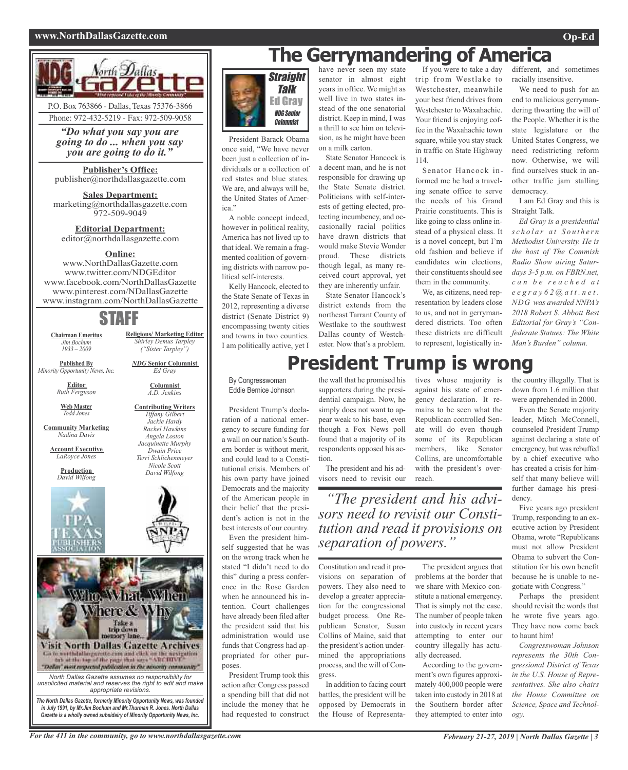#### **www.NorthDallasGazette.com Op-Ed**



*"Do what you say you are going to do ... when you say you are going to do it."*

**Publisher's Office:** publisher@northdallasgazette.com

**Sales Department:** marketing@northdallasgazette.com 972-509-9049

**Editorial Department:** editor@northdallasgazette.com

#### **Online:**

www.NorthDallasGazette.com www.twitter.com/NDGEditor www.facebook.com/NorthDallasGazette www.pinterest.com/NDallasGazette www.instagram.com/NorthDallasGazette

### STAFF

**Chairman Emeritus** *Jim Bochum 1933 – 2009*

**Published By** *Minority Opportunity News, Inc.* *NDG* **Senior Columnist** *Ed Gray*

> **Columnist** *A.D. Jenkins* **Contributing Writers** *Tiffany Gilbert Jackie Hardy Rachel Hawkins Angela Loston Jacquinette Murphy Dwain Price Terri Schlichenmeyer Nicole Scott David Wilfong*

**Religious/ Marketing Editor** *Shirley Demus Tarpley ("Sister Tarpley")*

**Editor** *Ruth Ferguson*

> **Web Master** *Todd Jones*

**Community Marketing** *Nadina Davis*

**Account Executive** *LaRoyce Jones*

> **Production** *David Wilfong*





### **The Gerrymandering of America** have never seen my state If you were to take a day

Straight Talk Ed Gray NDG Senior **Columnist** 

President Barack Obama once said, "We have never been just a collection of individuals or a collection of red states and blue states. We are, and always will be, the United States of America."

A noble concept indeed, however in political reality, America has not lived up to that ideal. We remain a fragmented coalition of governing districts with narrow political self-interests.

Kelly Hancock, elected to the State Senate of Texas in 2012, representing a diverse district (Senate District 9) encompassing twenty cities and towns in two counties. I am politically active, yet I senator in almost eight years in office. We might as well live in two states instead of the one senatorial district. Keep in mind, I was a thrill to see him on television, as he might have been on a milk carton.

State Senator Hancock is a decent man, and he is not responsible for drawing up the State Senate district. Politicians with self-interests of getting elected, protecting incumbency, and occasionally racial politics have drawn districts that would make Stevie Wonder proud. These districts though legal, as many received court approval, yet they are inherently unfair.

State Senator Hancock's district extends from the northeast Tarrant County of Westlake to the southwest Dallas county of Westchester. Now that's a problem.

## **President Trump is wrong**

By Congresswoman Eddie Bernice Johnson

President Trump's declaration of a national emergency to secure funding for a wall on our nation's Southern border is without merit, and could lead to a Constitutional crisis. Members of his own party have joined Democrats and the majority of the American people in their belief that the president's action is not in the best interests of our country.

Even the president himself suggested that he was on the wrong track when he stated "I didn't need to do this" during a press conference in the Rose Garden when he announced his intention. Court challenges have already been filed after the president said that his administration would use funds that Congress had appropriated for other purposes.

President Trump took this action after Congress passed a spending bill that did not include the money that he had requested to construct

the wall that he promised his supporters during the presidential campaign. Now, he simply does not want to appear weak to his base, even though a Fox News poll found that a majority of its respondents opposed his action.

The president and his advisors need to revisit our

*"The president and his advi- sors need to revisit our Consti- tution and read it provisions on separation of powers."*

reach.

Constitution and read it provisions on separation of powers. They also need to develop a greater appreciation for the congressional budget process. One Republican Senator, Susan Collins of Maine, said that the president's action undermined the appropriations process, and the will of Congress.

In addition to facing court battles, the president will be opposed by Democrats in the House of Representatrip from Westlake to Westchester, meanwhile your best friend drives from Westchester to Waxahachie. Your friend is enjoying coffee in the Waxahachie town square, while you stay stuck in traffic on State Highway 114.

Senator Hancock informed me he had a traveling senate office to serve the needs of his Grand Prairie constituents. This is like going to class online instead of a physical class. It is a novel concept, but I'm old fashion and believe if candidates win elections, their constituents should see them in the community.

We, as citizens, need representation by leaders close to us, and not in gerrymandered districts. Too often these districts are difficult to represent, logistically in-

Republican controlled Senate will do even though some of its Republican members, like Senator Collins, are uncomfortable with the president's over-

The president argues that problems at the border that we share with Mexico constitute a national emergency. That is simply not the case. The number of people taken into custody in recent years attempting to enter our country illegally has actu-

According to the government's own figures approximately 400,000 people were taken into custody in 2018 at the Southern border after they attempted to enter into

ally decreased.

different, and sometimes racially insensitive.

We need to push for an end to malicious gerrymandering thwarting the will of the People. Whether it is the state legislature or the United States Congress, we need redistricting reform now. Otherwise, we will find ourselves stuck in another traffic jam stalling democracy.

I am Ed Gray and this is Straight Talk.

*Ed Gray is a presidential s c h o l a r a t S o u t h e r n Methodist University. He is the host of The Commish Radio Show airing Saturdays 3-5 p.m. on FBRN.net, c a n b e r e a c h e d a t e e g r a y 6 2 @ a t t . n e t . NDG was awarded NNPA's 2018 Robert S. Abbott Best Editorial for Gray's "Confederate Statues: The White Man's Burden" column.*

tives whose majority is against his state of emergency declaration. It remains to be seen what the the country illegally. That is down from 1.6 million that were apprehended in 2000. Even the Senate majority

leader, Mitch McConnell, counseled President Trump against declaring a state of emergency, but was rebuffed by a chief executive who has created a crisis for himself that many believe will further damage his presidency.

Five years ago president Trump, responding to an executive action by President Obama, wrote "Republicans must not allow President Obama to subvert the Constitution for his own benefit because he is unable to negotiate with Congress."

Perhaps the president should revisit the words that he wrote five years ago. They have now come back to haunt him!

*Congresswoman Johnson represents the 30th Congressional District of Texas in the U.S. House of Representatives. She also chairs the House Committee on Science, Space and Technology.*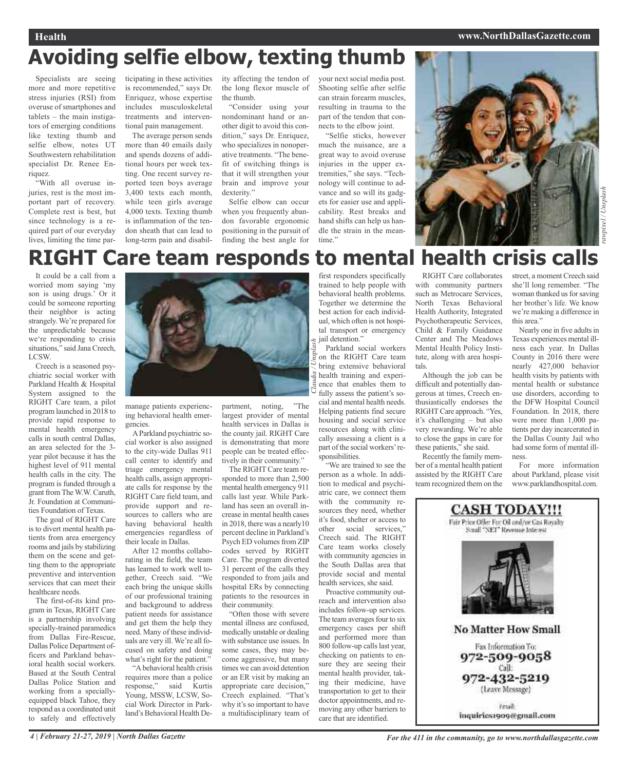#### **Health www.NorthDallasGazette.com**

## **Avoiding selfie elbow, texting thumb**

Specialists are seeing more and more repetitive stress injuries (RSI) from overuse of smartphones and tablets – the main instigators of emerging conditions like texting thumb and selfie elbow, notes UT Southwestern rehabilitation specialist Dr. Renee Enriquez.

"With all overuse injuries, rest is the most important part of recovery. Complete rest is best, but since technology is a required part of our everyday lives, limiting the time participating in these activities is recommended," says Dr. Enriquez, whose expertise includes musculoskeletal treatments and interventional pain management.

The average person sends more than 40 emails daily and spends dozens of additional hours per week texting. One recent survey reported teen boys average 3,400 texts each month, while teen girls average 4,000 texts. Texting thumb is inflammation of the tendon sheath that can lead to long-term pain and disability affecting the tendon of the long flexor muscle of the thumb.

"Consider using your nondominant hand or another digit to avoid this condition," says Dr. Enriquez, who specializes in nonoperative treatments. "The benefit of switching things is that it will strengthen your brain and improve your dexterity."

Selfie elbow can occur when you frequently abandon favorable ergonomic positioning in the pursuit of finding the best angle for your next social media post. Shooting selfie after selfie can strain forearm muscles, resulting in trauma to the part of the tendon that connects to the elbow joint.

"Selfie sticks, however much the nuisance, are a great way to avoid overuse injuries in the upper extremities," she says. "Technology will continue to advance and so will its gadgets for easier use and applicability. Rest breaks and hand shifts can help us handle the strain in the meantime."



## **RIGHT Care team responds to mental health crisis calls**

It could be a call from a worried mom saying 'my son is using drugs.' Or it could be someone reporting their neighbor is acting strangely. We're prepared for the unpredictable because we're responding to crisis situations," said Jana Creech, LCSW.

Creech is a seasoned psychiatric social worker with Parkland Health & Hospital System assigned to the RIGHT Care team, a pilot program launched in 2018 to provide rapid response to mental health emergency calls in south central Dallas, an area selected for the 3 year pilot because it has the highest level of 911 mental health calls in the city. The program is funded through a grant from TheW.W. Caruth, Jr. Foundation at Communities Foundation of Texas.

The goal of RIGHT Care is to divert mental health patients from area emergency rooms and jails by stabilizing them on the scene and getting them to the appropriate preventive and intervention services that can meet their healthcare needs.

The first-of-its kind program in Texas, RIGHT Care is a partnership involving specially-trained paramedics from Dallas Fire-Rescue, Dallas Police Department officers and Parkland behavioral health social workers. Based at the South Central Dallas Police Station and working from a speciallyequipped black Tahoe, they respond as a coordinated unit to safely and effectively



manage patients experiencing behavioral health emergencies.

AParkland psychiatric social worker is also assigned to the city-wide Dallas 911 call center to identify and triage emergency mental health calls, assign appropriate calls for response by the RIGHT Care field team, and provide support and resources to callers who are having behavioral health emergencies regardless of their locale in Dallas.

After 12 months collaborating in the field, the team has learned to work well together, Creech said. "We each bring the unique skills of our professional training and background to address patient needs for assistance and get them the help they need. Many of these individuals are very ill. We're all focused on safety and doing what's right for the patient."

"Abehavioral health crisis requires more than a police response," said Kurtis Young, MSSW, LCSW, Social Work Director in Parkland's Behavioral Health Department, noting, "The largest provider of mental health services in Dallas is the county jail. RIGHT Care is demonstrating that more people can be treated effectively in their community."

The RIGHT Care team responded to more than 2,500 mental health emergency 911 calls last year. While Parkland has seen an overall increase in mental health cases in 2018, there was a nearly10 percent decline in Parkland's Psych ED volumes from ZIP codes served by RIGHT Care. The program diverted 31 percent of the calls they responded to from jails and hospital ERs by connecting patients to the resources in their community.

"Often those with severe mental illness are confused, medically unstable or dealing with substance use issues. In some cases, they may become aggressive, but many times we can avoid detention or an ER visit by making an appropriate care decision," Creech explained. "That's why it's so important to have a multidisciplinary team of

first responders specifically trained to help people with behavioral health problems. Together we determine the best action for each individual, which often is not hospital transport or emergency  $\approx$  jail detention."

Parkland social workers on the RIGHT Care team bring extensive behavioral health training and experience that enables them to fully assess the patient's social and mental health needs. Helping patients find secure housing and social service resources along with clinically assessing a client is a part of the social workers'responsibilities. *Claudia / Unsplash*

"We are trained to see the person as a whole. In addition to medical and psychiatric care, we connect them with the community resources they need, whether it's food, shelter or access to other social services," Creech said. The RIGHT Care team works closely with community agencies in the South Dallas area that provide social and mental health services, she said.

Proactive community outreach and intervention also includes follow-up services. The team averages four to six emergency cases per shift and performed more than 800 follow-up calls last year, checking on patients to ensure they are seeing their mental health provider, taking their medicine, have transportation to get to their doctor appointments, and removing any other barriers to care that are identified.

RIGHT Care collaborates with community partners such as Metrocare Services, North Texas Behavioral Health Authority, Integrated Psychotherapeutic Services, Child & Family Guidance Center and The Meadows Mental Health Policy Institute, along with area hospitals.

Although the job can be difficult and potentially dangerous at times, Creech enthusiastically endorses the RIGHT Care approach. "Yes, it's challenging – but also very rewarding. We're able to close the gaps in care for these patients," she said.

Recently the family member of a mental health patient assisted by the RIGHT Care team recognized them on the street, a moment Creech said she'll long remember. "The woman thanked us for saving her brother's life. We know we're making a difference in this area."

Nearly one in five adults in Texas experiences mental illness each year. In Dallas County in 2016 there were nearly 427,000 behavior health visits by patients with mental health or substance use disorders, according to the DFW Hospital Council Foundation. In 2018, there were more than 1,000 patients per day incarcerated in the Dallas County Jail who had some form of mental illness.

For more information about Parkland, please visit www.parklandhospital.com.



4 | February 21-27, 2019 | North Dallas Gazette For the 411 in the community, go to www.northdallasgazette.com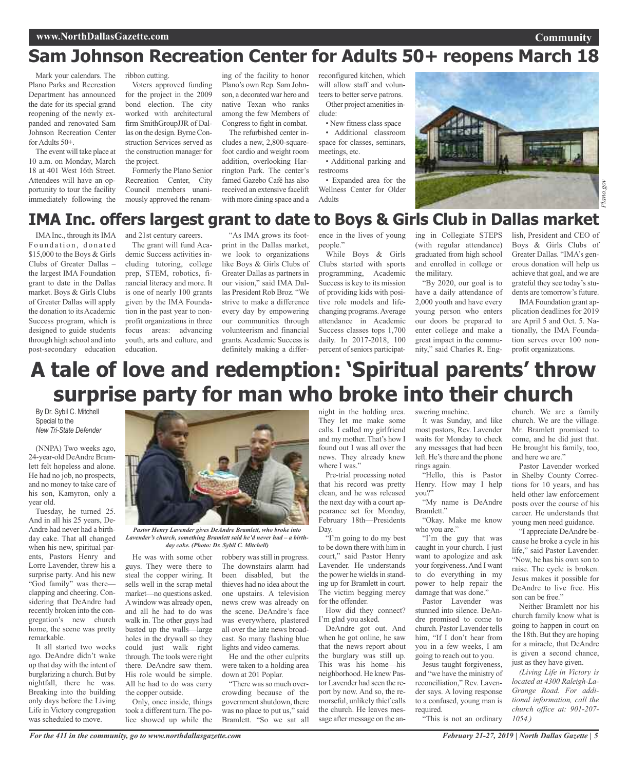### **www.NorthDallasGazette.com**

## **Sam Johnson Recreation Center for Adults 50+ reopens March 18**

Mark your calendars. The Plano Parks and Recreation Department has announced the date for its special grand reopening of the newly expanded and renovated Sam Johnson Recreation Center for Adults 50+.

The event will take place at 10 a.m. on Monday, March 18 at 401 West 16th Street. Attendees will have an opportunity to tour the facility immediately following the ribbon cutting. Voters approved funding for the project in the 2009 bond election. The city worked with architectural firm SmithGroupJJR of Dallas on the design. Byrne Construction Services served as the construction manager for

the project. Formerly the Plano Senior Recreation Center, City Council members unanimously approved the renam-

ing of the facility to honor Plano's own Rep. Sam Johnson, a decorated war hero and native Texan who ranks among the few Members of Congress to fight in combat.

The refurbished center includes a new, 2,800-squarefoot cardio and weight room addition, overlooking Harrington Park. The center's famed Gazebo Café has also received an extensive facelift with more dining space and a reconfigured kitchen, which will allow staff and volunteers to better serve patrons. Other project amenities in-

clude: • New fitness class space

• Additional classroom space for classes, seminars, meetings, etc.

• Additional parking and restrooms

• Expanded area for the Wellness Center for Older Adults



### **IMA Inc. offers largest grant to date to Boys & Girls Club in Dallas market**

IMA Inc., through its IMA Foundation, donated \$15,000 to the Boys & Girls Clubs of Greater Dallas – the largest IMA Foundation grant to date in the Dallas market. Boys & Girls Clubs of Greater Dallas will apply the donation to its Academic Success program, which is designed to guide students through high school and into post-secondary education and 21st century careers. The grant will fund Aca-

demic Success activities including tutoring, college prep, STEM, robotics, financial literacy and more. It is one of nearly 100 grants given by the IMA Foundation in the past year to nonprofit organizations in three focus areas: advancing youth, arts and culture, and education.

"As IMA grows its footprint in the Dallas market, we look to organizations like Boys & Girls Clubs of Greater Dallas as partners in our vision," said IMA Dallas President Rob Broz. "We strive to make a difference every day by empowering our communities through volunteerism and financial grants. Academic Success is definitely making a differ-

robbery was still in progress. The downstairs alarm had been disabled, but the thieves had no idea about the one upstairs. A television news crew was already on the scene. DeAndre's face was everywhere, plastered all over the late news broadcast. So many flashing blue lights and video cameras. He and the other culprits were taken to a holding area

down at 201 Poplar.

"There was so much overcrowding because of the government shutdown, there was no place to put us," said Bramlett. "So we sat all

ence in the lives of young people."

While Boys & Girls Clubs started with sports programming, Academic Success is key to its mission of providing kids with positive role models and lifechanging programs.Average attendance in Academic Success classes tops 1,700 daily. In 2017-2018, 100 percent of seniors participating in Collegiate STEPS (with regular attendance) graduated from high school and enrolled in college or the military.

"By 2020, our goal is to have a daily attendance of 2,000 youth and have every young person who enters our doors be prepared to enter college and make a great impact in the community," said Charles R. English, President and CEO of Boys & Girls Clubs of Greater Dallas. "IMA's generous donation will help us achieve that goal, and we are grateful they see today's students are tomorrow's future.

**Community**

IMAFoundation grant application deadlines for 2019 are April 5 and Oct. 5. Nationally, the IMA Foundation serves over 100 nonprofit organizations.

## **A tale of love and redemption: 'Spiritual parents' throw surprise party for man who broke into their church**

By Dr. Sybil C. Mitchell Special to the *New Tri-State Defender*

(NNPA) Two weeks ago, 24-year-old DeAndre Bramlett felt hopeless and alone. He had no job, no prospects, and no money to take care of his son, Kamyron, only a year old.

Tuesday, he turned 25. And in all his 25 years, De-Andre had never had a birthday cake. That all changed when his new, spiritual parents, Pastors Henry and Lorre Lavender, threw his a surprise party. And his new "God family" was there clapping and cheering. Considering that DeAndre had recently broken into the congregation's new church home, the scene was pretty remarkable.

It all started two weeks ago. DeAndre didn't wake up that day with the intent of burglarizing a church. But by nightfall, there he was. Breaking into the building only days before the Living Life in Victory congregation was scheduled to move.



*Pastor Henry Lavender gives DeAndre Bramlett, who broke into Lavender's church, something Bramlett said he'd never had – a birthday cake. (Photo: Dr. Sybil C. Mitchell)*

He was with some other guys. They were there to steal the copper wiring. It sells well in the scrap metal market—no questions asked. Awindow was already open, and all he had to do was walk in. The other guys had busted up the walls—large holes in the drywall so they could just walk right through. The tools were right there. DeAndre saw them. His role would be simple. All he had to do was carry the copper outside.

Only, once inside, things took a different turn. The police showed up while the They let me make some calls. I called my girlfriend and my mother. That's how I found out I was all over the news. They already knew where I was.' Pre-trial processing noted that his record was pretty

night in the holding area.

clean, and he was released the next day with a court appearance set for Monday, February 18th—Presidents Day.

"I'm going to do my best to be down there with him in court," said Pastor Henry Lavender. He understands the power he wields in standing up for Bramlett in court. The victim begging mercy for the offender.

How did they connect? I'm glad you asked.

DeAndre got out. And when he got online, he saw that the news report about the burglary was still up. This was his home—his neighborhood. He knew Pastor Lavender had seen the report by now. And so, the remorseful, unlikely thief calls the church. He leaves message after message on the answering machine. It was Sunday, and like most pastors, Rev. Lavender waits for Monday to check any messages that had been left. He's there and the phone

rings again. "Hello, this is Pastor Henry. How may I help you?"

"My name is DeAndre Bramlett."

"Okay. Make me know who you are."

"I'm the guy that was caught in your church. I just want to apologize and ask your forgiveness.And I want to do everything in my power to help repair the damage that was done."

Pastor Lavender was stunned into silence. DeAndre promised to come to church. Pastor Lavender tells him, "If I don't hear from you in a few weeks, I am going to reach out to you.

Jesus taught forgiveness, and "we have the ministry of reconciliation," Rev. Lavender says. A loving response to a confused, young man is required.

"This is not an ordinary

church. We are a family church. We are the village. Mr. Bramlett promised to come, and he did just that. He brought his family, too, and here we are."

Pastor Lavender worked in Shelby County Corrections for 10 years, and has held other law enforcement posts over the course of his career. He understands that young men need guidance.

"I appreciate DeAndre because he broke a cycle in his life," said Pastor Lavender. "Now, he has his own son to raise. The cycle is broken. Jesus makes it possible for DeAndre to live free. His son can be free."

Neither Bramlett nor his church family know what is going to happen in court on the 18th. But they are hoping for a miracle, that DeAndre is given a second chance, just as they have given.

*(Living Life in Victory is located at 4300 Raleigh-La-Grange Road. For additional information, call the church office at: 901-207- 1054.)*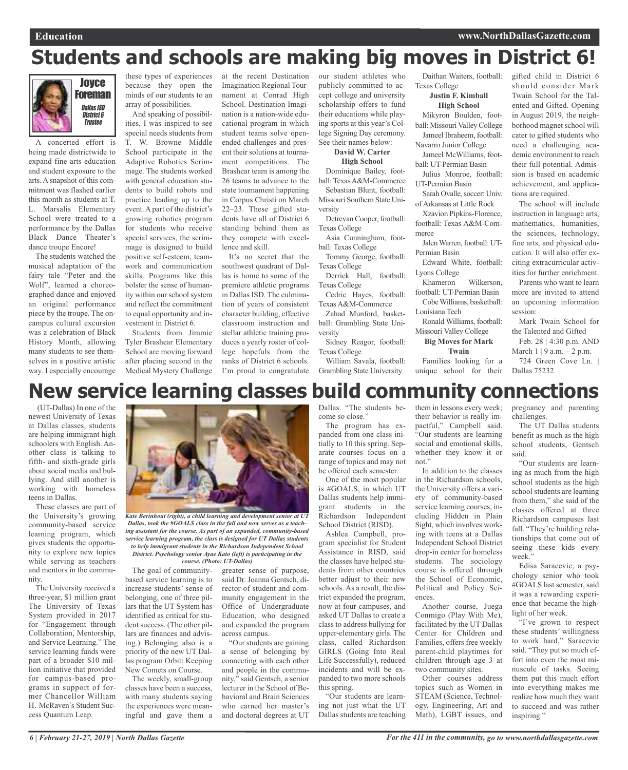## **Students and schools are making big moves in District 6!**



A concerted effort is being made districtwide to expand fine arts education and student exposure to the arts. A snapshot of this commitment was flashed earlier this month as students at T. L. Marsalis Elementary School were treated to a performance by the Dallas Black Dance Theater's dance troupe Encore!

The students watched the musical adaptation of the fairy tale "Peter and the Wolf", learned a choreographed dance and enjoyed an original performance piece by the troupe. The oncampus cultural excursion was a celebration of Black History Month, allowing many students to see themselves in a positive artistic way. I especially encourage

these types of experiences because they open the minds of our students to an array of possibilities. And speaking of possibil-

ities, I was inspired to see special needs students from T. W. Browne Middle School participate in the Adaptive Robotics Scrimmage. The students worked with general education students to build robots and practice leading up to the event. A part of the district's growing robotics program for students who receive special services, the scrimmage is designed to build positive self-esteem, teamwork and communication skills. Programs like this bolster the sense of humanity within our school system and reflect the commitment to equal opportunity and investment in District 6.

Students from Jimmie Tyler Brashear Elementary School are moving forward after placing second in the Medical Mystery Challenge

at the recent Destination Imagination Regional Tournament at Conrad High School. Destination Imagination is a nation-wide educational program in which student teams solve openended challenges and present their solutions at tournament competitions. The Brashear team is among the 26 teams to advance to the state tournament happening in Corpus Christi on March 22–23. These gifted students have all of District 6 standing behind them as they compete with excellence and skill.

It's no secret that the southwest quadrant of Dallas is home to some of the premiere athletic programs in Dallas ISD. The culmination of years of consistent character building, effective classroom instruction and stellar athletic training produces a yearly roster of college hopefuls from the ranks of District 6 schools. I'm proud to congratulate

our student athletes who publicly committed to accept college and university scholarship offers to fund their educations while playing sports at this year's College Signing Day ceremony. See their names below:

**David W. Carter**

**High School**

Dominique Bailey, football:TexasA&M-Commerce Sebastian Blunt, football: Missouri Southern State University

Detrevan Cooper, football: Texas College

Asia Cunningham, football: Texas College

Tommy George, football: Texas College

Derrick Hall, football: Texas College Cedric Hayes, football:

Texas A&M-Commerce Zahad Munford, basket-

ball: Grambling State University

Sidney Reagor, football: Texas College

William Savala, football: Grambling State University

Daithan Waiters, football: gifted child in District 6 Texas College

#### **Justin F. Kimball High School**

Mikyron Boulden, football: Missouri Valley College Jameel Ibraheem, football:

Navarro Junior College Jameel McWilliams, foot-

ball: UT-Permian Basin Julius Monroe, football:

UT-Permian Basin

Sarah Ovalle, soccer: Univ. of Arkansas at Little Rock

Xzavion Pipkins-Florence, football: Texas A&M-Commerce

Jalen Warren, football: UT-Permian Basin

Edward White, football: Lyons College

Khameron Wilkerson, football: UT-Permian Basin CobeWilliams, basketball:

Louisiana Tech Ronald Williams, football: Missouri Valley College

**Big Moves for Mark**

**Twain**

Families looking for a unique school for their

## **New service learning classes build community connections**

(UT-Dallas) In one of the newest University of Texas at Dallas classes, students are helping immigrant high schoolers with English. Another class is talking to fifth- and sixth-grade girls about social media and bullying. And still another is working with homeless teens in Dallas.

These classes are part of the University's growing community-based service learning program, which gives students the opportunity to explore new topics while serving as teachers and mentors in the community.

The University received a three-year, \$1 million grant The University of Texas System provided in 2017 for "Engagement through Collaboration, Mentorship, and Service Learning." The service learning funds were part of a broader \$10 million initiative that provided for campus-based programs in support of former Chancellor William H. McRaven's Student Success Quantum Leap.



*Kate Berinhout (right), a child learning and development senior at UT Dallas, took the #GOALS class in the fall and now serves as a teaching assistant for the course. As part of an expanded, community-based service learning program, the class is designed for UT Dallas students to help immigrant students in the Richardson Independent School District. Psychology senior Ayae Kato (left) is participating in the*

The goal of community*course. (Photo: UT-Dallas)*

based service learning is to increase students' sense of belonging, one of three pillars that the UT System has identified as critical for student success. (The other pillars are finances and advising.) Belonging also is a priority of the new UT Dallas program Orbit: Keeping New Comets on Course.

The weekly, small-group classes have been a success, with many students saying the experiences were meaningful and gave them a greater sense of purpose, said Dr. Joanna Gentsch, director of student and community engagement in the Office of Undergraduate Education, who designed and expanded the program across campus.

"Our students are gaining a sense of belonging by connecting with each other and people in the community," said Gentsch, a senior lecturer in the School of Behavioral and Brain Sciences who earned her master's and doctoral degrees at UT

Dallas. "The students become so close."

The program has expanded from one class initially to 10 this spring. Separate courses focus on a range of topics and may not be offered each semester.

One of the most popular is #GOALS, in which UT Dallas students help immigrant students in the Richardson Independent School District (RISD).

Ashlea Campbell, program specialist for Student Assistance in RISD, said the classes have helped students from other countries better adjust to their new schools. As a result, the district expanded the program, now at four campuses, and asked UT Dallas to create a class to address bullying for upper-elementary girls. The class, called Richardson GIRLS (Going Into Real Life Successfully), reduced incidents and will be expanded to two more schools this spring.

"Our students are learning not just what the UT Dallas students are teaching them in lessons every week; their behavior is really impactful," Campbell said. "Our students are learning social and emotional skills, whether they know it or not."

In addition to the classes in the Richardson schools, the University offers a variety of community-based service learning courses, including Hidden in Plain Sight, which involves working with teens at a Dallas Independent School District drop-in center for homeless students. The sociology course is offered through the School of Economic, Political and Policy Sciences.

Another course, Juega Conmigo (Play With Me), facilitated by the UT Dallas Center for Children and Families, offers free weekly parent-child playtimes for children through age 3 at two community sites.

Other courses address topics such as Women in STEAM (Science, Technology, Engineering, Art and Math), LGBT issues, and in August 2019, the neighborhood magnet school will cater to gifted students who need a challenging academic environment to reach their full potential. Admission is based on academic achievement, and applications are required. The school will include

should consider Mark Twain School for the Talented and Gifted. Opening

instruction in language arts, mathematics, humanities, the sciences, technology, fine arts, and physical education. It will also offer exciting extracurricular activities for further enrichment.

Parents who want to learn more are invited to attend an upcoming information session:

Mark Twain School for the Talented and Gifted

Feb. 28 | 4:30 p.m. AND March 1 | 9 a.m. - 2 p.m.

724 Green Cove Ln. | Dallas 75232

pregnancy and parenting challenges.

The UT Dallas students benefit as much as the high school students, Gentsch said.

"Our students are learning as much from the high school students as the high school students are learning from them," she said of the classes offered at three Richardson campuses last fall. "They're building relationships that come out of seeing these kids every week."

Edisa Saracevic, a psychology senior who took #GOALS last semester, said it was a rewarding experience that became the highlight of her week.

"I've grown to respect these students' willingness to work hard," Saracevic said. "They put so much effort into even the most minuscule of tasks. Seeing them put this much effort into everything makes me realize how much they want to succeed and was rather inspiring."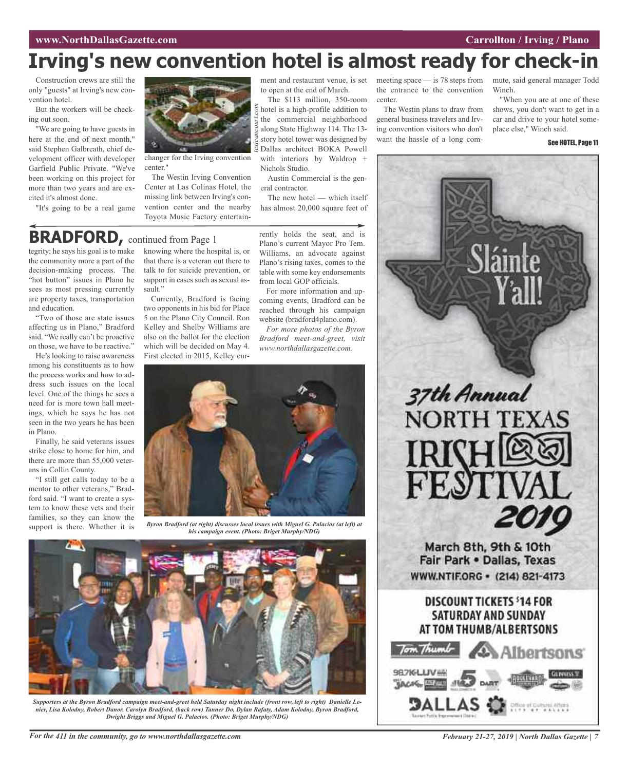# **Irving's new convention hotel is almost ready for check-in**

Construction crews are still the only "guests" at Irving's new convention hotel.

But the workers will be checking out soon.

"We are going to have guests in here at the end of next month," said Stephen Galbreath, chief development officer with developer Garfield Public Private. "We've been working on this project for more than two years and are excited it's almost done.

"It's going to be a real game



changer for the Irving convention center."

The Westin Irving Convention Center at Las Colinas Hotel, the missing link between Irving's convention center and the nearby Toyota Music Factory entertainment and restaurant venue, is set to open at the end of March.

The \$113 million, 350-room hotel is a high-profile addition to the commercial neighborhood along State Highway 114. The 13 story hotel tower was designed by Dallas architect BOKA Powell with interiors by Waldrop + Nichols Studio. *texicancourt.com*

Austin Commercial is the general contractor.

The new hotel — which itself has almost 20,000 square feet of meeting space — is 78 steps from the entrance to the convention center.

The Westin plans to draw from general business travelers and Irving convention visitors who don't want the hassle of a long commute, said general manager Todd Winch.

"When you are at one of these shows, you don't want to get in a car and drive to your hotel someplace else," Winch said.

#### See HOTEL, Page 11



## **BRADFORD,** continued from Page <sup>1</sup>

tegrity; he says his goal is to make the community more a part of the decision-making process. The "hot button" issues in Plano he sees as most pressing currently are property taxes, transportation and education.

"Two of those are state issues affecting us in Plano," Bradford said. "We really can't be proactive on those, we have to be reactive."

He's looking to raise awareness among his constituents as to how the process works and how to address such issues on the local level. One of the things he sees a need for is more town hall meetings, which he says he has not seen in the two years he has been in Plano.

Finally, he said veterans issues strike close to home for him, and there are more than 55,000 veterans in Collin County.

"I still get calls today to be a mentor to other veterans," Bradford said. "I want to create a system to know these vets and their families, so they can know the support is there. Whether it is knowing where the hospital is, or that there is a veteran out there to talk to for suicide prevention, or support in cases such as sexual assault."

Currently, Bradford is facing two opponents in his bid for Place 5 on the Plano City Council. Ron Kelley and Shelby Williams are also on the ballot for the election which will be decided on May 4. First elected in 2015, Kelley cur-

rently holds the seat, and is Plano's current Mayor Pro Tem. Williams, an advocate against Plano's rising taxes, comes to the table with some key endorsements from local GOP officials.

For more information and upcoming events, Bradford can be reached through his campaign website (bradford4plano.com).

*For more photos of the Byron Bradford meet-and-greet, visit www.northdallasgazette.com.*



*Byron Bradford (at right) discusses local issues with Miguel G. Palacios (at left) at his campaign event. (Photo: Briget Murphy/NDG)*



Supporters at the Byron Bradford campaign meet-and-greet held Saturday night include (front row, left to right) Danielle Lenier, Lisa Kolodny, Robert Danor, Carolyn Bradford, (back row) Tanner Do, Dylan Rafaty, Adam Kolodny, Byron Bradford, *Dwight Briggs and Miguel G. Palacios. (Photo: Briget Murphy/NDG)*

For the 411 in the community, go to www.northdallasgazette.com February 21-27, 2019 | North Dallas Gazette | 7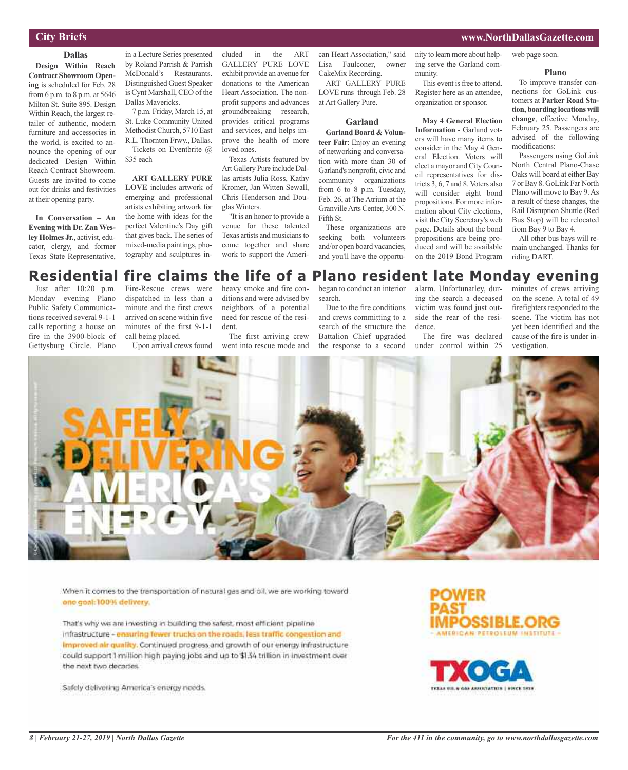### **City Briefs**

web page soon.

#### **Dallas**

**Design Within Reach Contract Showroom Opening** is scheduled for Feb. 28 from 6 p.m. to 8 p.m. at 5646 Milton St. Suite 895. Design Within Reach, the largest retailer of authentic, modern furniture and accessories in the world, is excited to announce the opening of our dedicated Design Within Reach Contract Showroom. Guests are invited to come out for drinks and festivities at their opening party.

**In Conversation – An Evening with Dr. Zan Wesley Holmes Jr.**, activist, educator, clergy, and former Texas State Representative,

in a Lecture Series presented by Roland Parrish & Parrish McDonald's Restaurants. Distinguished Guest Speaker is Cynt Marshall, CEO of the Dallas Mavericks.

7 p.m. Friday, March 15, at St. Luke Community United Methodist Church, 5710 East R.L. Thornton Frwy., Dallas. Tickets on Eventbrite @

\$35 each

**ART GALLERY PURE LOVE** includes artwork of emerging and professional artists exhibiting artwork for the home with ideas for the perfect Valentine's Day gift that gives back. The series of mixed-media paintings, photography and sculptures in-

cluded in the ART GALLERY PURE LOVE exhibit provide an avenue for donations to the American Heart Association. The nonprofit supports and advances groundbreaking research, provides critical programs and services, and helps improve the health of more loved ones.

Texas Artists featured by Art Gallery Pure include Dallas artists Julia Ross, Kathy Kromer, Jan Witten Sewall, Chris Henderson and Douglas Winters.

"It is an honor to provide a venue for these talented Texas artists and musicians to come together and share work to support the American Heart Association," said Lisa Faulconer, owner CakeMix Recording. ART GALLERY PURE

LOVE runs through Feb. 28

### **Garland**

at Art Gallery Pure.

**Garland Board & Volunteer Fair**: Enjoy an evening of networking and conversation with more than 30 of Garland's nonprofit, civic and community organizations from 6 to 8 p.m. Tuesday, Feb. 26, at The Atrium at the GranvilleArts Center, 300 N. Fifth St.

These organizations are seeking both volunteers and/or open board vacancies, and you'll have the opportunity to learn more about helping serve the Garland community.

This event is free to attend. Register here as an attendee, organization or sponsor.

**May 4 General Election Information** - Garland voters will have many items to consider in the May 4 General Election. Voters will elect a mayor and City Council representatives for districts 3, 6, 7 and 8. Voters also will consider eight bond propositions. For more information about City elections, visit the City Secretary's web page. Details about the bond propositions are being produced and will be available on the 2019 Bond Program

To improve transfer connections for GoLink customers at **Parker Road Station, boarding locations will**

**Plano**

**change**, effective Monday, February 25. Passengers are advised of the following modifications:

Passengers using GoLink North Central Plano-Chase Oaks will board at either Bay 7 orBay 8. GoLink Far North Plano will move to Bay 9.As a result of these changes, the Rail Disruption Shuttle (Red Bus Stop) will be relocated from Bay 9 to Bay 4.

All other bus bays will remain unchanged. Thanks for riding DART.

### **Residential fire claims the life of a Plano resident late Monday evening**

Just after 10:20 p.m. Monday evening Plano Public Safety Communications received several 9-1-1 calls reporting a house on fire in the 3900-block of Gettysburg Circle. Plano

Fire-Rescue crews were heavy smoke and fire condispatched in less than a minute and the first crews arrived on scene within five minutes of the first 9-1-1 call being placed.

Upon arrival crews found

ditions and were advised by neighbors of a potential need for rescue of the resident.

The first arriving crew went into rescue mode and

began to conduct an interior search.

Due to the fire conditions and crews committing to a search of the structure the Battalion Chief upgraded the response to a second

alarm. Unfortunatley, during the search a deceased victim was found just outside the rear of the residence.

The fire was declared under control within 25

minutes of crews arriving on the scene. A total of 49 firefighters responded to the scene. The victim has not yet been identified and the cause of the fire is under investigation.



When it comes to the transportation of natural gas and oil, we are working toward one goal: 100% delivery.

That's why we are investing in building the safest, most efficient pipeline infrastructure - ensuring fewer trucks on the roads, less traffic congestion and Improved air quality. Continued progress and growth of our energy infrastructure could support I million high paying jobs and up to \$1.34 trillion in investment over the next two decades.

Safely delivering America's energy needs.



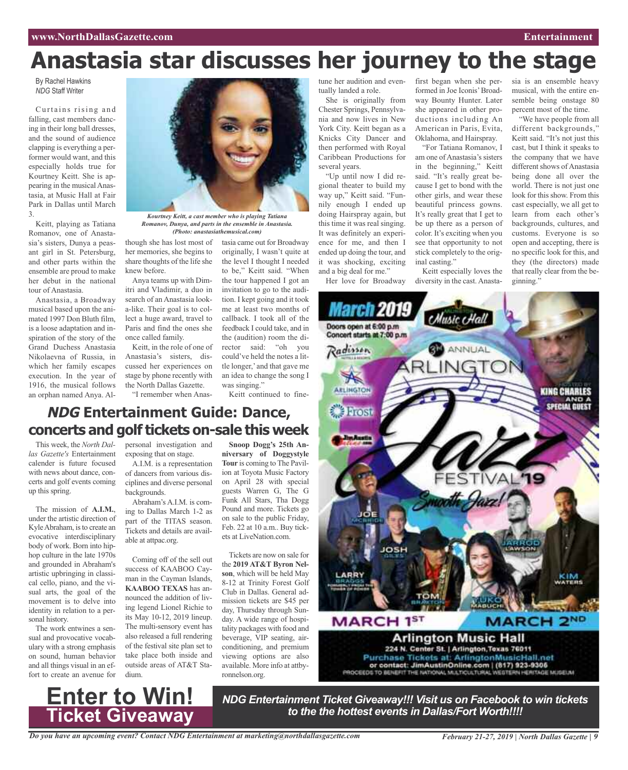## **Anastasia star discusses her journey to the stage**

By Rachel Hawkins *NDG* Staff Writer

Curtains rising and falling, cast members dancing in their long ball dresses, and the sound of audience clapping is everything a performer would want, and this especially holds true for Kourtney Keitt. She is appearing in the musical Anastasia, at Music Hall at Fair Park in Dallas until March 3.

Keitt, playing as Tatiana Romanov, one of Anastasia's sisters, Dunya a peasant girl in St. Petersburg, and other parts within the ensemble are proud to make her debut in the national tour of Anastasia.

Anastasia, a Broadway musical based upon the animated 1997 Don Bluth film, is a loose adaptation and inspiration of the story of the Grand Duchess Anastasia Nikolaevna of Russia, in which her family escapes execution. In the year of 1916, the musical follows an orphan named Anya. Al-



*Romanov, Dunya, and parts in the ensemble in Anastasia. (Photo: anastasiathemusical.com)*

though she has lost most of her memories, she begins to share thoughts of the life she knew before.

Anya teams up with Dimitri and Vladimir, a duo in search of an Anastasia looka-like. Their goal is to collect a huge award, travel to Paris and find the ones she once called family.

Keitt, in the role of one of Anastasia's sisters, discussed her experiences on stage by phone recently with the North Dallas Gazette. "I remember when Anastasia came out for Broadway originally, I wasn't quite at the level I thought I needed to be," Keitt said. "When the tour happened I got an invitation to go to the audition. I kept going and it took me at least two months of callback. I took all of the feedback I could take, and in the (audition) room the director said: "oh you could've held the notes a little longer,' and that gave me an idea to change the song I was singing."

Keitt continued to fine-

tune her audition and eventually landed a role.

She is originally from Chester Springs, Pennsylvania and now lives in New York City. Keitt began as a Knicks City Dancer and then performed with Royal Caribbean Productions for several years.

"Up until now I did regional theater to build my way up," Keitt said. "Funnily enough I ended up doing Hairspray again, but this time it was real singing. It was definitely an experience for me, and then I ended up doing the tour, and it was shocking, exciting and a big deal for me."

Her love for Broadway

first began when she performed in Joe Iconis'Broadway Bounty Hunter. Later she appeared in other productions including An American in Paris, Evita, Oklahoma, and Hairspray. "For Tatiana Romanov, I

am one of Anastasia's sisters in the beginning," Keitt said. "It's really great because I get to bond with the other girls, and wear these beautiful princess gowns. It's really great that I get to be up there as a person of color. It's exciting when you see that opportunity to not stick completely to the original casting."

Keitt especially loves the diversity in the cast. Anastasia is an ensemble heavy musical, with the entire ensemble being onstage 80 percent most of the time. "We have people from all

different backgrounds," Keitt said. "It's not just this cast, but I think it speaks to the company that we have different shows of Anastasia being done all over the world. There is not just one look for this show. From this cast especially, we all get to learn from each other's backgrounds, cultures, and customs. Everyone is so open and accepting, there is no specific look for this, and they (the directors) made that really clear from the beginning."



### **NDG Entertainment Guide: Dance, concerts and golf tickets on-sale this week**

*las Gazette's* Entertainment calender is future focused with news about dance, concerts and golf events coming up this spring.

The mission of **A.I.M.**, under the artistic direction of Kyle Abraham, is to create an evocative interdisciplinary body of work. Born into hiphop culture in the late 1970s and grounded in Abraham's artistic upbringing in classical cello, piano, and the visual arts, the goal of the movement is to delve into identity in relation to a personal history.

The work entwines a sensual and provocative vocabulary with a strong emphasis on sound, human behavior and all things visual in an effort to create an avenue for

**Enter to Win!**

**Ticket Giveaway**

This week, the *North Dal-*personal investigation and exposing that on stage.

A.I.M. is a representation of dancers from various disciplines and diverse personal backgrounds.

Abraham's A.I.M. is coming to Dallas March 1-2 as part of the TITAS season. Tickets and details are available at attpac.org.

Coming off of the sell out success of KAABOO Cayman in the Cayman Islands, **KAABOO TEXAS** has announced the addition of living legend Lionel Richie to its May 10-12, 2019 lineup. The multi-sensory event has also released a full rendering of the festival site plan set to take place both inside and outside areas of AT&T Stadium.

**Snoop Dogg's 25th Anniversary of Doggystyle Tour** is coming to The Pavilion at Toyota Music Factory on April 28 with special guests Warren G, The G Funk All Stars, Tha Dogg Pound and more. Tickets go on sale to the public Friday, Feb. 22 at 10 a.m.. Buy tickets at LiveNation.com.

Tickets are now on sale for the **2019 AT&T Byron Nelson**, which will be held May 8-12 at Trinity Forest Golf Club in Dallas. General admission tickets are \$45 per day, Thursday through Sunday. A wide range of hospitality packages with food and beverage, VIP seating, airconditioning, and premium viewing options are also available. More info at attbyronnelson.org.

*NDG Entertainment Ticket Giveaway!!! Visit us on Facebook to win tickets to the the hottest events in Dallas/Fort Worth!!!!*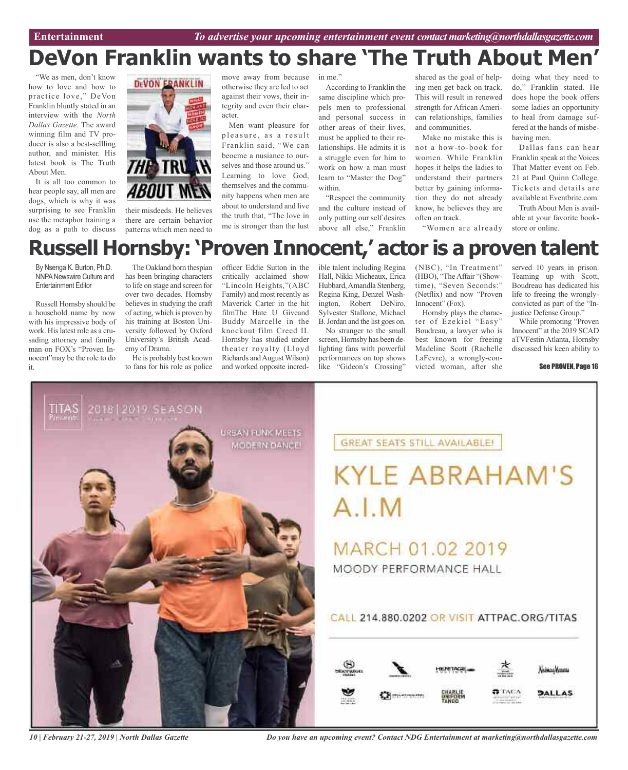## **DeVon Franklin wants to share 'The Truth About Men'**

"We as men, don't know how to love and how to practice love," DeVon Franklin bluntly stated in an interview with the *North Dallas Gazette*. The award winning film and TV producer is also a best-sellling author, and minister. His latest book is The Truth About Men.

It is all too common to hear people say, all men are dogs, which is why it was surprising to see Franklin use the metaphor training a dog as a path to discuss



their misdeeds. He believes there are certain behavior patterns which men need to

move away from because otherwise they are led to act against their vows, their integrity and even their character.

Men want pleasure for pleasure, as a result Franklin said, "We can beocme a nusiance to ourselves and those around us." Learning to love God, themselves and the community happens when men are about to understand and live the truth that, "The love in me is stronger than the lust

in me'

According to Franklin the same discipline which propels men to professional and personal success in other areas of their lives, must be applied to their relationships. He admits it is a struggle even for him to work on how a man must learn to "Master the Dog" within.

"Respect the community and the culture instead of only putting our self desires above all else," Franklin

shared as the goal of helping men get back on track. This will result in renewed strength for African American relationships, families and communities.

Make no mistake this is not a how-to-book for women. While Franklin hopes it helps the ladies to understand their partners better by gaining information they do not already know, he believes they are often on track.

"Women are already

doing what they need to do," Franklin stated. He does hope the book offers some ladies an opportunity to heal from damage suffered at the hands of misbehaving men.

Dallas fans can hear Franklin speak at the Voices That Matter event on Feb. 21 at Paul Quinn College. Tickets and details are available at Eventbrite.com.

Truth About Men is available at your favorite bookstore or online.

## **Russell Hornsby: 'Proven Innocent, ' actor is a proven talent**

By Nsenga K. Burton, Ph.D. NNPA Newswire Culture and Entertainment Editor

Russell Hornsby should be a household name by now with his impressive body of work. Hislatest role as a crusading attorney and family man on FOX's "Proven Innocent"may be the role to do it.

The Oakland born thespian has been bringing characters to life on stage and screen for over two decades. Hornsby believes in studying the craft of acting, which is proven by his training at Boston University followed by Oxford University's British Academy of Drama.

He is probably best known to fans for his role as police officer Eddie Sutton in the critically acclaimed show "Lincoln Heights,"(ABC Family) and most recently as Maverick Carter in the hit filmThe Hate U Giveand Buddy Marcelle in the knockout film Creed II. Hornsby has studied under theater royalty (Lloyd Richards andAugustWilson) and worked opposite incredible talent including Regina Hall, Nikki Micheaux, Erica Hubbard,Amandla Stenberg, Regina King, Denzel Washington, Robert DeNiro, Sylvester Stallone, Michael B.Jordan and the list goes on.

No stranger to the small screen, Hornsby has been delighting fans with powerful performances on top shows like "Gideon's Crossing"

(NBC), "In Treatment" (HBO), "TheAffair "(Showtime), "Seven Seconds:" (Netflix) and now "Proven Innocent" (Fox).

Hornsby plays the character of Ezekiel "Easy" Boudreau, a lawyer who is best known for freeing Madeline Scott (Rachelle LaFevre), a wrongly-convicted woman, after she

served 10 years in prison. Teaming up with Scott, Boudreau has dedicated his life to freeing the wronglyconvicted as part of the "Injustice Defense Group."

While promoting "Proven Innocent" at the 2019 SCAD aTVFestin Atlanta, Hornsby discussed his keen ability to

#### See PROVEN, Page 16

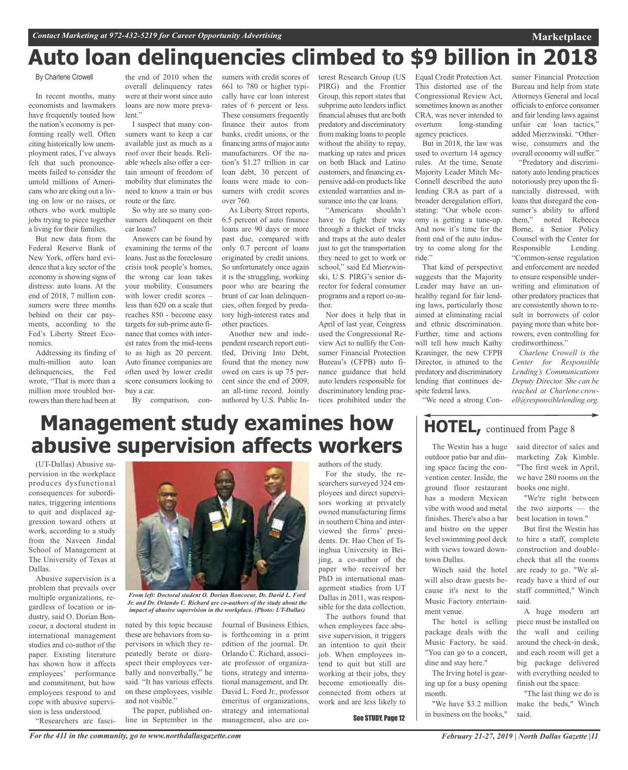## **Auto loan delinquencies climbed to \$9 billion in 2018**

#### By Charlene Crowell

In recent months, many economists and lawmakers have frequently touted how the nation's economy is performing really well. Often citing historically low unemployment rates, I've always felt that such pronouncements failed to consider the untold millions of Americans who are eking out a living on low or no raises, or others who work multiple jobs trying to piece together a living for their families.

But new data from the Federal Reserve Bank of New York, offers hard evidence that a key sector of the economy is showing signs of distress: auto loans. At the end of 2018, 7 million consumers were three months behind on their car payments, according to the Fed's Liberty Street Economics.

Addressing its finding of multi-million auto loan delinquencies, the Fed wrote, "That is more than a million more troubled borrowers than there had been at

the end of 2010 when the overall delinquency rates were at their worst since auto loans are now more prevalent."

I suspect that many consumers want to keep a car available just as much as a roof over their heads. Reliable wheels also offer a certain amount of freedom of mobility that eliminates the need to know a train or bus route or the fare.

So why are so many consumers delinquent on their car loans?

Answers can be found by examining the terms of the loans. Just as the foreclosure crisis took people's homes, the wrong car loan takes your mobility. Consumers with lower credit scores – less than 620 on a scale that reaches 850 - become easy targets for sub-prime auto finance that comes with interest rates from the mid-teens to as high as 20 percent. Auto finance companies are often used by lower credit score consumers looking to buy a car.

By comparison, con-

sumers with credit scores of 661 to 780 or higher typically have car loan interest rates of 6 percent or less. These consumers frequently finance their autos from banks, credit unions, or the financing arms of major auto manufacturers. Of the nation's \$1.27 trillion in car loan debt, 30 percent of loans were made to consumers with credit scores over 760.

As Liberty Street reports, 6.5 percent of auto finance loans are 90 days or more past due, compared with only 0.7 percent of loans originated by credit unions. So unfortunately once again it is the struggling, working poor who are bearing the brunt of car loan delinquencies, often forged by predatory high-interest rates and other practices.

Another new and independent research report entitled, Driving Into Debt, found that the money now owed on cars is up 75 percent since the end of 2009, an all-time record. Jointly authored by U.S. Public Interest Research Group (US PIRG) and the Frontier Group, this report states that subprime auto lenders inflict financial abuses that are both predatory and discriminatory from making loans to people without the ability to repay, marking up rates and prices on both Black and Latino customers, and financing expensive add-on products like extended warranties and insurance into the car loans.

"Americans shouldn't have to fight their way through a thicket of tricks and traps at the auto dealer just to get the transportation they need to get to work or school," said Ed Mierzwinski, U.S. PIRG's senior director for federal consumer programs and a report co-author.

Nor does it help that in April of last year, Congress used the Congressional Review Act to nullify the Consumer Financial Protection Bureau's (CFPB) auto finance guidance that held auto lenders responsible for discriminatory lending practices prohibited under the

Equal Credit Protection Act. This distorted use of the Congressional Review Act, sometimes known as another CRA, was never intended to overturn long-standing agency practices.

But in 2018, the law was used to overturn 14 agency rules. At the time, Senate Majority Leader Mitch Mc-Connell described the auto lending CRA as part of a broader deregulation effort, stating: "Our whole economy is getting a tune-up. And now it's time for the front end of the auto industry to come along for the ride."

That kind of perspective suggests that the Majority Leader may have an unhealthy regard for fair lending laws, particularly those aimed at eliminating racial and ethnic discrimination. Further, time and actions will tell how much Kathy Kraninger, the new CFPB Director, is attuned to the predatory and discriminatory lending that continues despite federal laws.

"We need a strong Con-

## **HOTEL,** continued from Page <sup>8</sup>

The Westin has a huge outdoor patio bar and dining space facing the convention center. Inside, the ground floor restaurant has a modern Mexican vibe with wood and metal finishes. There's also a bar and bistro on the upper level swimming pool deck with views toward downtown Dallas.

Winch said the hotel will also draw guests because it's next to the Music Factory entertainment venue.

The hotel is selling package deals with the Music Factory, he said. "You can go to a concert, dine and stay here."

The Irving hotel is gearing up for a busy opening month.

"We have \$3.2 million in business on the books,"

sumer Financial Protection Bureau and help from state Attorneys General and local officials to enforce consumer and fair lending laws against unfair car loan tactics," added Mierzwinski. "Otherwise, consumers and the overall economy will suffer."

**Marketplace**

"Predatory and discriminatory auto lending practices notoriously prey upon the financially distressed, with loans that disregard the consumer's ability to afford<br>them," noted Rebecca noted Rebecca Borne, a Senior Policy Counsel with the Center for Responsible Lending. "Common-sense regulation and enforcement are needed to ensure responsible underwriting and elimination of other predatory practices that are consistently shown to result in borrowers of color paying more than white borrowers, even controlling for creditworthiness."

*Charlene Crowell is the Center for Responsible Lending's Communications Deputy Director. She can be reached at Charlene.crowell@responsiblelending.org.*

## **Management study examines how abusive supervision affects workers**

(UT-Dallas) Abusive supervision in the workplace produces dysfunctional consequences for subordinates, triggering intentions to quit and displaced aggression toward others at work, according to a study from the Naveen Jindal School of Management at The University of Texas at Dallas.

Abusive supervision is a problem that prevails over multiple organizations, regardless of location or industry, said O. Dorian Boncoeur, a doctoral student in international management studies and co-author of the paper. Existing literature has shown how it affects employees' performance and commitment, but how employees respond to and cope with abusive supervision is less understood.

"Researchers are fasci-



*From left: Doctoral student O. Dorian Boncoeur, Dr. David L. Ford Jr. and Dr. Orlando C. Richard are co-authors of the study about the impact of abusive supervision in the workplace. (Photo: UT-Dallas)*

nated by this topic because these are behaviors from supervisors in which they repeatedly berate or disrespect their employees verbally and nonverbally," he said. "It has various effects on these employees, visible and not visible."

The paper, published online in September in the

Journal of Business Ethics, is forthcoming in a print edition of the journal. Dr. Orlando C. Richard, associate professor of organizations, strategy and international management, and Dr. David L. Ford Jr., professor emeritus of organizations, strategy and international management, also are co-

### authors of the study. For the study, the re-

searchers surveyed 324 employees and direct supervisors working at privately owned manufacturing firms in southern China and interviewed the firms' presidents. Dr. Hao Chen of Tsinghua University in Beijing, a co-author of the paper who received her PhD in international management studies from UT Dallas in 2011, was responsible for the data collection.

The authors found that when employees face abusive supervision, it triggers an intention to quit their job. When employees intend to quit but still are working at their jobs, they become emotionally disconnected from others at work and are less likely to

See STUDY, Page 12

said director of sales and marketing Zak Kimble. "The first week in April, we have 280 rooms on the books one night.

"We're right between the two airports — the best location in town."

But first the Westin has to hire a staff, complete construction and doublecheck that all the rooms are ready to go. "We already have a third of our staff committed," Winch said.

A huge modern art piece must be installed on the wall and ceiling around the check-in desk, and each room will get a big package delivered with everything needed to finish out the space.

"The last thing we do is make the beds," Winch said.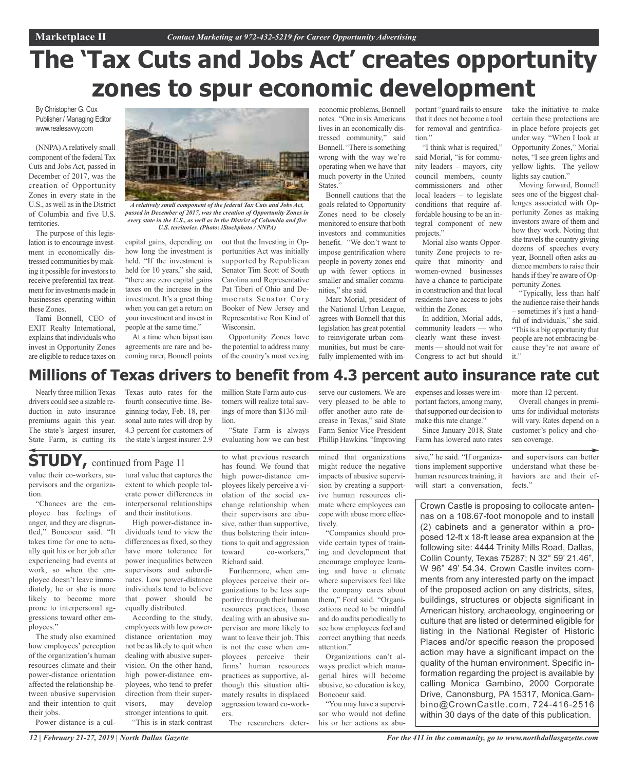# **The 'Tax Cuts and Jobs Act' creates opportunity zones to spur economic development**

By Christopher G. Cox Publisher / Managing Editor www.realesavvy.com

(NNPA) A relatively small component of the federal Tax Cuts and Jobs Act, passed in December of 2017, was the creation of Opportunity Zones in every state in the U.S., as well as in the District of Columbia and five U.S. territories.

The purpose of this legislation is to encourage investment in economically distressed communities by making it possible for investors to receive preferential tax treatment for investments made in businesses operating within these Zones.

Tami Bonnell, CEO of EXIT Realty International, explains that individuals who invest in Opportunity Zones are eligible to reduce taxes on



*A relatively small component of the federal Tax Cuts and Jobs Act, passed in December of 2017, was the creation of Opportunity Zones in every state in the U.S., as well as in the District of Columbia and five U.S. territories. (Photo: iStockphoto / NNPA)*

capital gains, depending on how long the investment is held. "If the investment is held for 10 years," she said, "there are zero capital gains taxes on the increase in the investment. It's a great thing when you can get a return on your investment and invest in people at the same time."

At a time when bipartisan agreements are rare and becoming rarer, Bonnell points out that the Investing in Opportunities Act was initially supported by Republican Senator Tim Scott of South Carolina and Representative Pat Tiberi of Ohio and Democrats Senator Cory Booker of New Jersey and Representative Ron Kind of Wisconsin.

Opportunity Zones have the potential to address many of the country's most vexing economic problems, Bonnell notes. "One in sixAmericans lives in an economically distressed community," said Bonnell. "There is something wrong with the way we're operating when we have that much poverty in the United States."

Bonnell cautions that the goals related to Opportunity Zones need to be closely monitored to ensure that both investors and communities benefit. "We don't want to impose gentrification where people in poverty zones end up with fewer options in smaller and smaller communities," she said.

Marc Morial, president of the National Urban League, agrees with Bonnell that this legislation has great potential to reinvigorate urban communities, but must be carefully implemented with important "guard rails to ensure that it does not become a tool for removal and gentrification."

"I think what is required," said Morial, "is for community leaders – mayors, city council members, county commissioners and other local leaders – to legislate conditions that require affordable housing to be an integral component of new projects."

Morial also wants Opportunity Zone projects to require that minority and women-owned businesses have a chance to participate in construction and that local residents have access to jobs within the Zones.

In addition, Morial adds, community leaders — who clearly want these investments — should not wait for Congress to act but should take the initiative to make certain these protections are in place before projects get under way. "When I look at Opportunity Zones," Morial notes, "I see green lights and yellow lights. The yellow lights say caution."

Moving forward, Bonnell sees one of the biggest challenges associated with Opportunity Zones as making investors aware of them and how they work. Noting that she travels the country giving dozens of speeches every year, Bonnell often asks audience members to raise their hands if they're aware of Onportunity Zones.

"Typically, less than half the audience raise their hands – sometimes it's just a handful of individuals," she said. "This is a big opportunity that people are not embracing because they're not aware of it."

### **Millions of Texas drivers to benefit from 4.3 percent auto insurance rate cut**

Nearly three million Texas drivers could see a sizable reduction in auto insurance premiums again this year. The state's largest insurer, State Farm, is cutting its

Texas auto rates for the fourth consecutive time. Beginning today, Feb. 18, personal auto rates will drop by 4.3 percent for customers of the state's largest insurer. 2.9

million State Farm auto customers will realize total savings of more than \$136 million.

"State Farm is always evaluating how we can best

serve our customers. We are very pleased to be able to offer another auto rate decrease in Texas," said State Farm Senior Vice President Phillip Hawkins. "Improving expenses and losses were important factors, among many, that supported our decision to make this rate change."

Since January 2018, State Farm has lowered auto rates

sive," he said. "If organizations implement supportive human resources training, it will start a conversation, and supervisors can better understand what these behaviors are and their efsen coverage.

Overall changes in premiums for individual motorists will vary. Rates depend on a customer's policy and cho-

more than 12 percent.

Crown Castle is proposing to collocate antennas on a 108.67-foot monopole and to install (2) cabinets and a generator within a proposed 12-ft x 18-ft lease area expansion at the following site: 4444 Trinity Mills Road, Dallas, Collin County, Texas 75287; N 32° 59' 21.46", W 96° 49' 54.34. Crown Castle invites comments from any interested party on the impact of the proposed action on any districts, sites, buildings, structures or objects significant in American history, archaeology, engineering or culture that are listed or determined eligible for listing in the National Register of Historic Places and/or specific reason the proposed action may have a significant impact on the quality of the human environment. Specific information regarding the project is available by calling Monica Gambino, 2000 Corporate Drive, Canonsburg, PA 15317, Monica.Gambino@CrownCastle.com, 724-416-2516 within 30 days of the date of this publication.

fects."

## **STUDY,** continued from Page <sup>11</sup>

value their co-workers, supervisors and the organization.

"Chances are the employee has feelings of anger, and they are disgruntled," Boncoeur said. "It takes time for one to actually quit his or her job after experiencing bad events at work, so when the employee doesn't leave immediately, he or she is more likely to become more prone to interpersonal aggressions toward other employees."

The study also examined how employees' perception of the organization's human resources climate and their power-distance orientation affected the relationship between abusive supervision and their intention to quit their jobs.

Power distance is a cul-

tural value that captures the extent to which people tolerate power differences in interpersonal relationships and their institutions.

High power-distance individuals tend to view the differences as fixed, so they have more tolerance for power inequalities between supervisors and subordinates. Low power-distance individuals tend to believe that power should be equally distributed.

According to the study, employees with low powerdistance orientation may not be as likely to quit when dealing with abusive supervision. On the other hand, high power-distance employees, who tend to prefer direction from their supervisors, may develop stronger intentions to quit. "This is in stark contrast

to what previous research has found. We found that high power-distance employees likely perceive a violation of the social exchange relationship when their supervisors are abusive, rather than supportive, thus bolstering their intentions to quit and aggression toward co-workers," Richard said.

Furthermore, when employees perceive their organizations to be less supportive through their human resources practices, those dealing with an abusive supervisor are more likely to want to leave their job. This is not the case when employees perceive their firms' human resources practices as supportive, although this situation ultimately results in displaced aggression toward co-workers.

The researchers deter-

mined that organizations might reduce the negative impacts of abusive supervision by creating a supportive human resources climate where employees can cope with abuse more effectively.

"Companies should provide certain types of training and development that encourage employee learning and have a climate where supervisors feel like the company cares about them," Ford said. "Organizations need to be mindful and do audits periodically to see how employees feel and correct anything that needs attention."

Organizations can't always predict which managerial hires will become abusive, so education is key, Boncoeur said.

"You may have a supervisor who would not define his or her actions as abu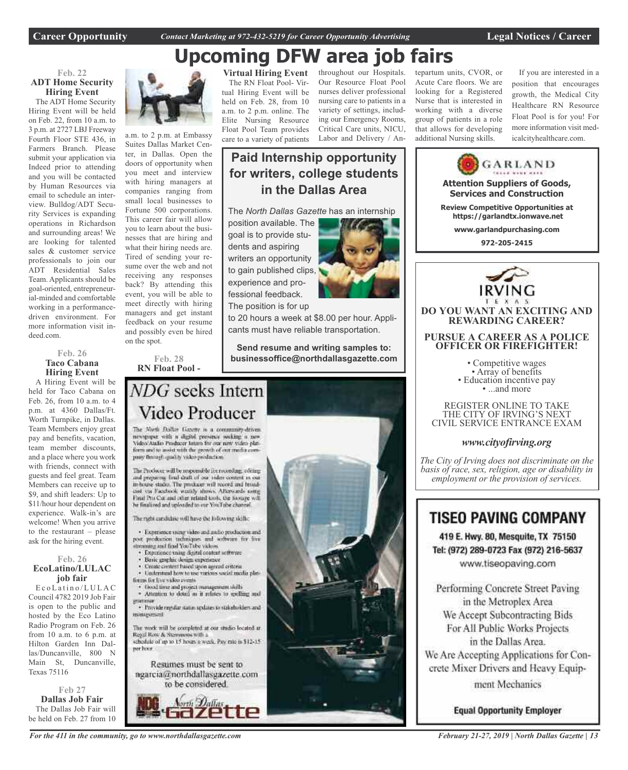**Career Opportunity** *Contact Marketing at 972-432-5219 for Career Opportunity Advertising* **Legal Notices / Career**

## **Upcoming DFW area job fairs**

### **Feb. 22 ADT Home Security Hiring Event**

The ADT Home Security Hiring Event will be held on Feb. 22, from 10 a.m. to 3 p.m. at 2727 LBJ Freeway Fourth Floor STE 436, in Farmers Branch. Please submit your application via Indeed prior to attending and you will be contacted by Human Resources via email to schedule an interview. Bulldog/ADT Security Services is expanding operations in Richardson and surrounding areas! We are looking for talented sales & customer service professionals to join our ADT Residential Sales Team. Applicants should be goal-oriented, entrepreneurial-minded and comfortable working in a performancedriven environment. For more information visit indeed.com.

### **Feb. 26 Taco Cabana Hiring Event**

A Hiring Event will be held for Taco Cabana on Feb. 26, from 10 a.m. to 4 p.m. at 4360 Dallas/Ft. Worth Turnpike, in Dallas. Team Members enjoy great pay and benefits, vacation, team member discounts, and a place where you work with friends, connect with guests and feel great. Team Members can receive up to \$9, and shift leaders: Up to \$11/hour hour dependent on experience. Walk-in's are welcome! When you arrive to the restaurant – please ask for the hiring event.

#### **Feb. 26 EcoLatino/LULAC job fair**

 $E$ co Latino/LULAC Council 4782 2019 Job Fair is open to the public and hosted by the Eco Latino Radio Program on Feb. 26 from 10 a.m. to 6 p.m. at Hilton Garden Inn Dallas/Duncanville, 800 N Main St, Duncanville, Texas 75116

**Feb 27 Dallas Job Fair** The Dallas Job Fair will be held on Feb. 27 from 10



a.m. to 2 p.m. at Embassy Suites Dallas Market Center, in Dallas. Open the doors of opportunity when you meet and interview with hiring managers at companies ranging from small local businesses to Fortune 500 corporations. This career fair will allow you to learn about the businesses that are hiring and what their hiring needs are. Tired of sending your resume over the web and not receiving any responses back? By attending this event, you will be able to meet directly with hiring managers and get instant feedback on your resume and possibly even be hired on the spot.

> **Feb. 28 RN Float Pool -**

**Virtual Hiring Event** The RN Float Pool- Virtual Hiring Event will be held on Feb. 28, from 10 a.m. to 2 p.m. online. The Elite Nursing Resource Float Pool Team provides care to a variety of patients

throughout our Hospitals. Our Resource Float Pool nurses deliver professional nursing care to patients in a variety of settings, including our Emergency Rooms, Critical Care units, NICU, Labor and Delivery / An-

tepartum units, CVOR, or Acute Care floors. We are looking for a Registered Nurse that is interested in working with a diverse group of patients in a role that allows for developing additional Nursing skills.

If you are interested in a position that encourages growth, the Medical City Healthcare RN Resource Float Pool is for you! For more information visit medicalcityhealthcare.com.



in the Metroplex Area We Accept Subcontracting Bids For All Public Works Projects in the Dallas Area. We Are Accepting Applications for Concrete Mixer Drivers and Heavy Equipment Mechanics

**Equal Opportunity Employer** 

**Paid Internship opportunity for writers, college students in the Dallas Area**

The *North Dallas Gazette* has an internship

position available. The goal is to provide students and aspiring writers an opportunity to gain published clips, experience and professional feedback. The position is for up

to 20 hours a week at \$8.00 per hour. Applicants must have reliable transportation.

**Send resume and writing samples to: businessoffice@northdallasgazette.com**

## NDG seeks Intern Video Producer

The North Dallas Gazette is a community-driven newspaper with a digital presence socking a new Video/Audio Producer Intam for our new video plat-<br>form and to assist with the growth of our media comproy through quality video production.

The Producer will be responsible for rocording, editing and preparing final draft of our video content in our in-house stadio. The producer will record and broad-cast via Facebook witchly shows. Afterwards using Final Pro Cor and other related tools, the footage will he finalized and uploaded to our YouTube channel

The right cardidate will have the following skills:

· Experience using video and antio production and post production techniques and software for five streaming and final YouTube videos.

- Experience mang digital content settware
- Basic graphic design experience
- Create circlent hased upon agreed criteria · Understand how to use various social media plat-
- tions for live video cycets
- · Good time and project management skills<br>· Attention to detail as it relates to spelling and
- · Provide regular status updates to stakeholders and miniarument

The work will be completed at our studio located at Regal Row & Stemmons with a schedule of up to 15 hours a week. Pay rate is \$12-15. ner hoor.

Resumes must be sent to ngarcia@northdallasgazette.com to be considered.

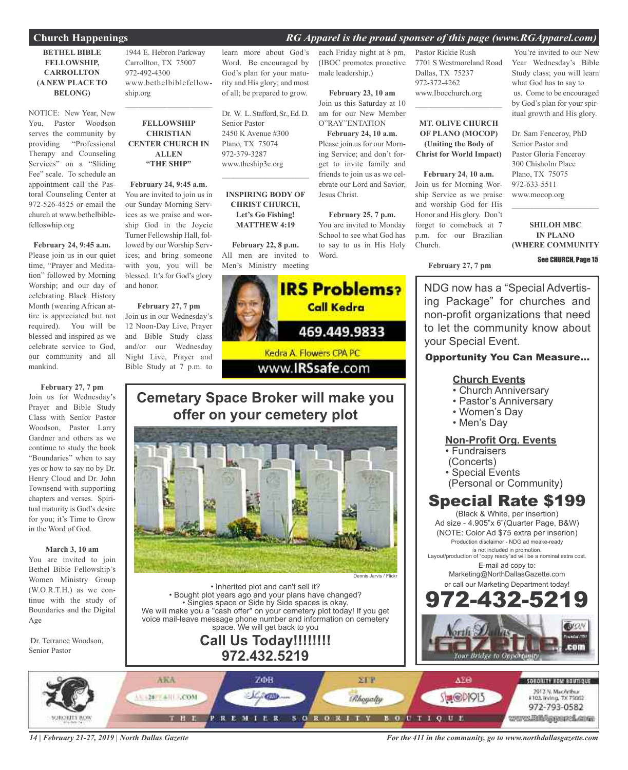### **Church Happenings** *RG Apparel is the proud sponser of this page (www.RGApparel.com)*

### **BETHEL BIBLE FELLOWSHIP, CARROLLTON (A NEW PLACE TO BELONG)**

NOTICE: New Year, New You, Pastor Woodson serves the community by providing "Professional Therapy and Counseling Services" on a "Sliding Fee" scale. To schedule an appointment call the Pastoral Counseling Center at 972-526-4525 or email the church at www.bethelbiblefelloswhip.org

### **February 24, 9:45 a.m.**

Please join us in our quiet time, "Prayer and Meditation" followed by Morning Worship; and our day of celebrating Black History Month (wearing African attire is appreciated but not required). You will be blessed and inspired as we celebrate service to God, our community and all mankind.

**February 27, 7 pm** Join us for Wednesday's Prayer and Bible Study Class with Senior Pastor Woodson, Pastor Larry Gardner and others as we continue to study the book "Boundaries" when to say yes or how to say no by Dr. Henry Cloud and Dr. John Townsend with supporting chapters and verses. Spiritual maturity is God's desire for you; it's Time to Grow in the Word of God.

#### **March 3, 10 am**

You are invited to join Bethel Bible Fellowship's Women Ministry Group (W.O.R.T.H.) as we continue with the study of Boundaries and the Digital Age

Dr. Terrance Woodson, Senior Pastor

1944 E. Hebron Parkway Carrollton, TX 75007 972-492-4300 www.bethelbiblefellowshin org

 $\mathcal{L}_\text{max}$  and  $\mathcal{L}_\text{max}$  and  $\mathcal{L}_\text{max}$ 

### **FELLOWSHIP CHRISTIAN CENTER CHURCH IN ALLEN "THE SHIP"**

**February 24, 9:45 a.m.** You are invited to join us in our Sunday Morning Services as we praise and worship God in the Joycie Turner Fellowship Hall, followed by our Worship Services; and bring someone with you, you will be blessed. It's for God's glory and honor.

**February 27, 7 pm** Join us in our Wednesday's 12 Noon-Day Live, Prayer and Bible Study class and/or our Wednesday Night Live, Prayer and Bible Study at 7 p.m. to learn more about God's Word. Be encouraged by God's plan for your maturity and His glory; and most of all; be prepared to grow.

Dr. W. L. Stafford, Sr., Ed. D. Senior Pastor 2450 K Avenue #300 Plano, TX 75074 972-379-3287 www.theship3c.org  $\mathcal{L}=\mathcal{L}^{\mathcal{L}}$  , where  $\mathcal{L}^{\mathcal{L}}$  , we have the set of the set of the set of the set of the set of the set of the set of the set of the set of the set of the set of the set of the set of the set of the set of

### **INSPIRING BODY OF CHRIST CHURCH, Let's Go Fishing! MATTHEW 4:19**

**February 22, 8 p.m.** All men are invited to Men's Ministry meeting



### **Cemetary Space Broker will make you offer on your cemetery plot**



• Inherited plot and can't sell it? • Bought plot years ago and your plans have changed? • Singles space or Side by Side spaces is okay. We will make you a "cash offer" on your cemetery plot today! If you get voice mail-leave message phone number and information on cemetery space. We will get back to you

### **Call Us Today!!!!!!!! 972.432.5219**

each Friday night at 8 pm, (IBOC promotes proactive male leadership.) **February 23, 10 am** Pastor Rickie Rush 7701 S Westmoreland Road Dallas, TX 75237 972-372-4262

Join us this Saturday at 10 am for our New Member O"RAY"ENTATION **February 24, 10 a.m.** Please join us for our Morning Service; and don't forget to invite family and friends to join us as we celebrate our Lord and Savior,

**February 25, 7 p.m.** You are invited to Monday School to see what God has to say to us in His Holy

Jesus Christ.

Word.

www.Ibocchurch.org  $\mathcal{L}_\text{max}$  and  $\mathcal{L}_\text{max}$  and  $\mathcal{L}_\text{max}$ 

### **MT. OLIVE CHURCH**

**OF PLANO (MOCOP) (Uniting the Body of Christ for World Impact)**

**February 24, 10 a.m.** Join us for Morning Worship Service as we praise and worship God for His Honor and His glory. Don't forget to comeback at 7 p.m. for our Brazilian Church.

You're invited to our New Year Wednesday's Bible Study class; you will learn what God has to say to us. Come to be encouraged by God's plan for your spiritual growth and His glory.

Dr. Sam Fenceroy, PhD Senior Pastor and Pastor Gloria Fenceroy 300 Chisholm Place Plano, TX 75075 972-633-5511 www.mocop.org

**SHILOH MBC IN PLANO (WHERE COMMUNITY**

See CHURCH, Page 15

 $\overline{\phantom{a}}$  , and the set of the set of the set of the set of the set of the set of the set of the set of the set of the set of the set of the set of the set of the set of the set of the set of the set of the set of the s

**February 27, 7 pm**

NDG now has a "Special Advertising Package" for churches and non-profit organizations that need to let the community know about your Special Event.

### Opportunity You Can Measure...

### **Church Events**

- Church Anniversary
- Pastor's Anniversary
- Women's Day
- Men's Day

### **Non-Profit Org. Events**

- Fundraisers
- (Concerts)
- Special Events
- (Personal or Community)

### Special Rate \$199

(Black & White, per insertion) Ad size - 4.905"x 6"(Quarter Page, B&W) (NOTE: Color Ad \$75 extra per inserion) Production disclaimer - NDG ad meake-ready is not included in promotion.

Layout/production of "copy ready"ad will be a nominal extra cost. E-mail ad copy to:

> Marketing@NorthDallasGazette.com or call our Marketing Department today!



*14 | February 21-27, 2019 | North Dallas Gazette*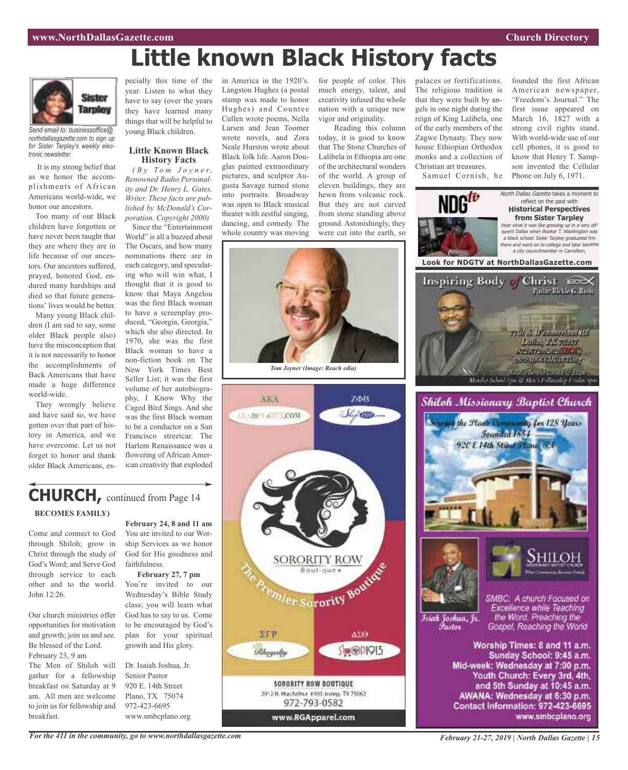# **Little known Black History facts**



*Send email to: businessoffice@ northdallasgazette.com to sign up for Sister Tarpley's weekly electronic newsletter.*

It is my strong belief that as we honor the accomplishments of African Americans world-wide, we honor our ancestors.

Too many of our Black children have forgotten or have never been taught that they are where they are in life because of our ancestors. Our ancestors suffered, prayed, honored God, endured many hardships and died so that future generations' lives would be better.

Many young Black children (I am sad to say, some older Black people also) have the misconception that it is not necessarily to honor the accomplishments of Back Americans that have made a huge difference world-wide.

They wrongly believe and have said so, we have gotten over that part of history in America, and we have overcome. Let us not forget to honor and thank older Black Americans, es-

pecially this time of the year. Listen to what they have to say (over the years they have learned many things that will be helpful to young Black children.

#### **Little Known Black History Facts**

 $(B y T o m J o y n e r$ *Renowned Radio Personality and Dr. Henry L. Gates, Writer. These facts are published by McDonald's Corporation. Copyright 2000)*

Since the "Entertainment World" is all a buzzed about The Oscars, and how many nominations there are in each category, and speculating who will win what, I thought that it is good to know that Maya Angelou was the first Black woman to have a screenplay produced, "Georgia, Georgia," which she also directed. In 1970, she was the first Black woman to have a non-fiction book on The New York Times Best Seller List; it was the first volume of her autobiography, I Know Why the Caged Bird Sings. And she was the first Black woman to be a conductor on a San Francisco streetcar. The Harlem Renaissance was a flowering of African American creativity that exploded

**CHURCH,** continued from Page <sup>14</sup> **BECOMES FAMILY)**

Come and connect to God through Shiloh; grow in Christ through the study of God's Word; and Serve God through service to each other and to the world. John 12:26.

Our church ministries offer opportunities for motivation and growth; join us and see. Be blessed of the Lord. February 23, 9 am

The Men of Shiloh will gather for a fellowship breakfast on Saturday at 9 am. All men are welcome to join us for fellowship and breakfast.

**February 24, 8 and 11 am** You are invited to our Worship Services as we honor God for His goodness and faithfulness.

**February 27, 7 pm** You're invited to our Wednesday's Bible Study class; you will learn what God has to say to us. Come to be encouraged by God's plan for your spiritual growth and His glory.

Dr. Isaiah Joshua, Jr. Senior Pastor 920 E. 14th Street Plano, TX 75074 972-423-6695 www.smbcplano.org in America in the 1920's. Langston Hughes (a postal stamp was made to honor Hughes) and Countee Cullen wrote poems, Nella Larsen and Jean Toomer wrote novels, and Zora Neale Hurston wrote about Black folk life. Aaron Douglas painted extraordinary pictures, and sculptor Augusta Savage turned stone into portraits. Broadway was open to Black musical theater with zestful singing, dancing, and comedy. The whole country was moving

 $AKA$ 

" ABPLANTSCON

**XTP** 

Schogedig

for people of color. This much energy, talent, and creativity infused the whole nation with a unique new vigor and originality.

Reading this column today, it is good to know that The Stone Churches of Lalibela in Ethiopia are one of the architectural wonders of the world. A group of eleven buildings, they are

palaces or fortifications. The religious tradition is that they were built by angels in one night during the reign of King Lalibela, one of the early members of the Zagwe Dynasty. They now house Ethiopian Orthodox monks and a collection of Christian art treasures.

Samuel Cornish, he

founded the first African American newspaper, "Freedom's Journal." The first issue appeared on March 16, 1827 with a strong civil rights stand. With world-wide use of our cell phones, it is good to know that Henry T. Sampson invented the Cellular Phone on July 6, 1971.



*February 21-27, 2019 | North Dallas Gazette | 15*